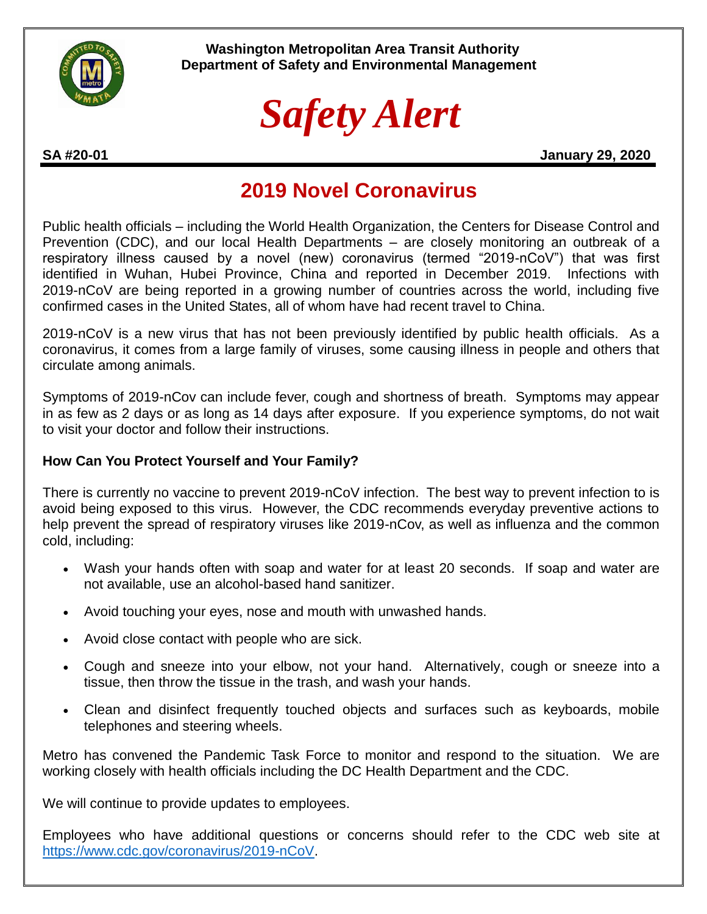

 **Washington Metropolitan Area Transit Authority Department of Safety and Environmental Management**

# *Safety Alert*

**SA #20-01 January 29, 2020**

## **2019 Novel Coronavirus**

Public health officials – including the World Health Organization, the Centers for Disease Control and Prevention (CDC), and our local Health Departments – are closely monitoring an outbreak of a respiratory illness caused by a novel (new) coronavirus (termed "2019-nCoV") that was first identified in Wuhan, Hubei Province, China and reported in December 2019. Infections with 2019-nCoV are being reported in a growing number of countries across the world, including five confirmed cases in the United States, all of whom have had recent travel to China.

2019-nCoV is a new virus that has not been previously identified by public health officials. As a coronavirus, it comes from a large family of viruses, some causing illness in people and others that circulate among animals.

Symptoms of 2019-nCov can include fever, cough and shortness of breath. Symptoms may appear in as few as 2 days or as long as 14 days after exposure. If you experience symptoms, do not wait to visit your doctor and follow their instructions.

### **How Can You Protect Yourself and Your Family?**

There is currently no vaccine to prevent 2019-nCoV infection. The best way to prevent infection to is avoid being exposed to this virus. However, the CDC recommends everyday preventive actions to help prevent the spread of respiratory viruses like 2019-nCov, as well as influenza and the common cold, including:

- Wash your hands often with soap and water for at least 20 seconds. If soap and water are not available, use an alcohol-based hand sanitizer.
- Avoid touching your eyes, nose and mouth with unwashed hands.
- Avoid close contact with people who are sick.
- Cough and sneeze into your elbow, not your hand. Alternatively, cough or sneeze into a tissue, then throw the tissue in the trash, and wash your hands.
- Clean and disinfect frequently touched objects and surfaces such as keyboards, mobile telephones and steering wheels.

Metro has convened the Pandemic Task Force to monitor and respond to the situation. We are working closely with health officials including the DC Health Department and the CDC.

We will continue to provide updates to employees.

Employees who have additional questions or concerns should refer to the CDC web site at [https://www.cdc.gov/coronavirus/2019-nCoV.](https://www.cdc.gov/coronavirus/2019-nCoV)